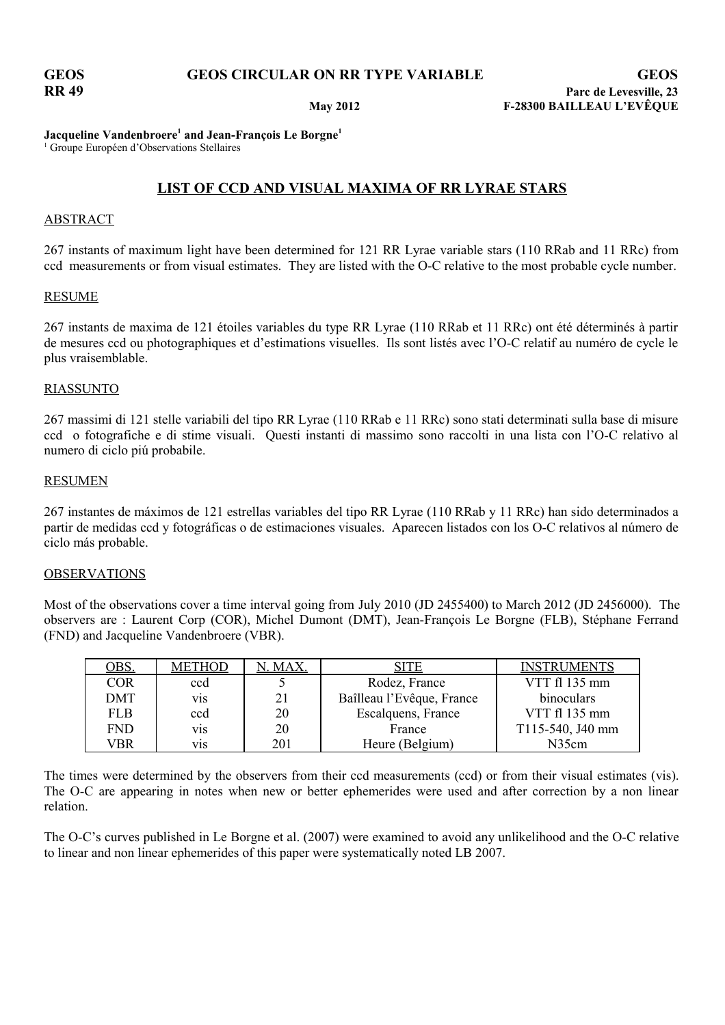### **Jacqueline Vandenbroere<sup>1</sup> and Jean-François Le Borgne<sup>1</sup>**

<sup>1</sup> Groupe Européen d'Observations Stellaires

## **LIST OF CCD AND VISUAL MAXIMA OF RR LYRAE STARS**

### ABSTRACT

267 instants of maximum light have been determined for 121 RR Lyrae variable stars (110 RRab and 11 RRc) from ccd measurements or from visual estimates. They are listed with the O-C relative to the most probable cycle number.

### RESUME

267 instants de maxima de 121 étoiles variables du type RR Lyrae (110 RRab et 11 RRc) ont été déterminés à partir de mesures ccd ou photographiques et d'estimations visuelles. Ils sont listés avec l'O-C relatif au numéro de cycle le plus vraisemblable.

### RIASSUNTO

267 massimi di 121 stelle variabili del tipo RR Lyrae (110 RRab e 11 RRc) sono stati determinati sulla base di misure ccd o fotografiche e di stime visuali. Questi instanti di massimo sono raccolti in una lista con l'O-C relativo al numero di ciclo piú probabile.

### RESUMEN

267 instantes de máximos de 121 estrellas variables del tipo RR Lyrae (110 RRab y 11 RRc) han sido determinados a partir de medidas ccd y fotográficas o de estimaciones visuales. Aparecen listados con los O-C relativos al número de ciclo más probable.

### OBSERVATIONS

Most of the observations cover a time interval going from July 2010 (JD 2455400) to March 2012 (JD 2456000). The observers are : Laurent Corp (COR), Michel Dumont (DMT), Jean-François Le Borgne (FLB), Stéphane Ferrand (FND) and Jacqueline Vandenbroere (VBR).

| OBS.       | <b>METHOD</b>    | N. MAX. | <b>SITE</b>               | <b>INSTRUMENTS</b> |
|------------|------------------|---------|---------------------------|--------------------|
| <b>COR</b> | ccd              |         | Rodez, France             | VTT fl 135 mm      |
| DMT        | V1S              | 21      | Baîlleau l'Evêque, France | binoculars         |
| <b>FLB</b> | ccd              | 20      | Escalquens, France        | VTT fl 135 mm      |
| <b>FND</b> | V <sub>1</sub> S | 20      | France                    | T115-540, J40 mm   |
| VBR        | V1S              | 201     | Heure (Belgium)           | N35cm              |

The times were determined by the observers from their ccd measurements (ccd) or from their visual estimates (vis). The O-C are appearing in notes when new or better ephemerides were used and after correction by a non linear relation.

The O-C's curves published in Le Borgne et al. (2007) were examined to avoid any unlikelihood and the O-C relative to linear and non linear ephemerides of this paper were systematically noted LB 2007.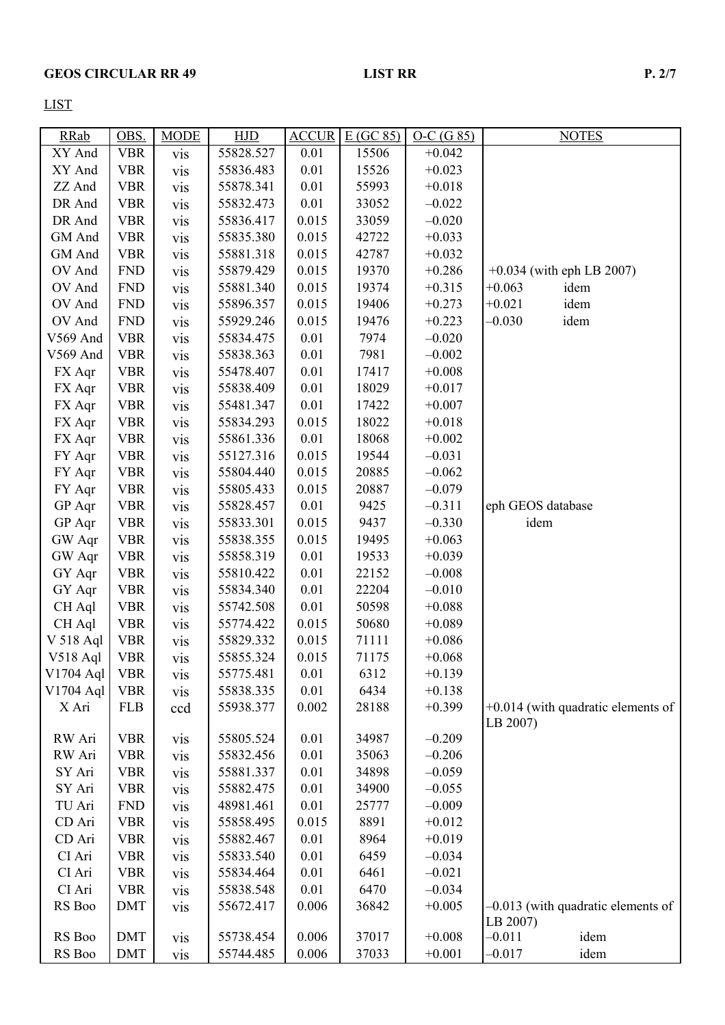LIST

| <b>RRab</b> | OBS.       | <b>MODE</b> | HJD       | <b>ACCUR</b> | E(GC 85) | $O-C(G 85)$ |                   | <b>NOTES</b>                         |
|-------------|------------|-------------|-----------|--------------|----------|-------------|-------------------|--------------------------------------|
| XY And      | <b>VBR</b> | <b>vis</b>  | 55828.527 | 0.01         | 15506    | $+0.042$    |                   |                                      |
| XY And      | <b>VBR</b> | vis         | 55836.483 | 0.01         | 15526    | $+0.023$    |                   |                                      |
| ZZ And      | <b>VBR</b> | vis         | 55878.341 | 0.01         | 55993    | $+0.018$    |                   |                                      |
| DR And      | <b>VBR</b> | vis         | 55832.473 | 0.01         | 33052    | $-0.022$    |                   |                                      |
| DR And      | <b>VBR</b> | <b>vis</b>  | 55836.417 | 0.015        | 33059    | $-0.020$    |                   |                                      |
| GM And      | <b>VBR</b> | vis         | 55835.380 | 0.015        | 42722    | $+0.033$    |                   |                                      |
| GM And      | <b>VBR</b> | vis         | 55881.318 | 0.015        | 42787    | $+0.032$    |                   |                                      |
| OV And      | <b>FND</b> | vis         | 55879.429 | 0.015        | 19370    | $+0.286$    |                   | $+0.034$ (with eph LB 2007)          |
| OV And      | <b>FND</b> | vis         | 55881.340 | 0.015        | 19374    | $+0.315$    | $+0.063$          | idem                                 |
| OV And      | <b>FND</b> | vis         | 55896.357 | 0.015        | 19406    | $+0.273$    | $+0.021$          | idem                                 |
| OV And      | <b>FND</b> | vis         | 55929.246 | 0.015        | 19476    | $+0.223$    | $-0.030$          | idem                                 |
| V569 And    | <b>VBR</b> | vis         | 55834.475 | 0.01         | 7974     | $-0.020$    |                   |                                      |
| V569 And    | <b>VBR</b> | vis         | 55838.363 | 0.01         | 7981     | $-0.002$    |                   |                                      |
| FX Aqr      | <b>VBR</b> | vis         | 55478.407 | 0.01         | 17417    | $+0.008$    |                   |                                      |
| FX Aqr      | <b>VBR</b> | <b>vis</b>  | 55838.409 | 0.01         | 18029    | $+0.017$    |                   |                                      |
| FX Aqr      | <b>VBR</b> | vis         | 55481.347 | 0.01         | 17422    | $+0.007$    |                   |                                      |
| FX Aqr      | <b>VBR</b> | vis         | 55834.293 | 0.015        | 18022    | $+0.018$    |                   |                                      |
| FX Aqr      | <b>VBR</b> | vis         | 55861.336 | 0.01         | 18068    | $+0.002$    |                   |                                      |
| FY Aqr      | <b>VBR</b> | vis         | 55127.316 | 0.015        | 19544    | $-0.031$    |                   |                                      |
| FY Aqr      | <b>VBR</b> | vis         | 55804.440 | 0.015        | 20885    | $-0.062$    |                   |                                      |
| FY Aqr      | <b>VBR</b> | vis         | 55805.433 | 0.015        | 20887    | $-0.079$    |                   |                                      |
| GP Aqr      | <b>VBR</b> | vis         | 55828.457 | 0.01         | 9425     | $-0.311$    | eph GEOS database |                                      |
| GP Aqr      | <b>VBR</b> | vis         | 55833.301 | 0.015        | 9437     | $-0.330$    | idem              |                                      |
| GW Aqr      | <b>VBR</b> | vis         | 55838.355 | 0.015        | 19495    | $+0.063$    |                   |                                      |
| GW Aqr      | <b>VBR</b> | vis         | 55858.319 | 0.01         | 19533    | $+0.039$    |                   |                                      |
| GY Aqr      | <b>VBR</b> | vis         | 55810.422 | 0.01         | 22152    | $-0.008$    |                   |                                      |
| GY Aqr      | <b>VBR</b> | vis         | 55834.340 | 0.01         | 22204    | $-0.010$    |                   |                                      |
| CH Aql      | <b>VBR</b> | vis         | 55742.508 | 0.01         | 50598    | $+0.088$    |                   |                                      |
| CH Aql      | <b>VBR</b> | vis         | 55774.422 | 0.015        | 50680    | $+0.089$    |                   |                                      |
| V 518 Aql   | <b>VBR</b> | vis         | 55829.332 | 0.015        | 71111    | $+0.086$    |                   |                                      |
| V518 Aql    | <b>VBR</b> | vis         | 55855.324 | 0.015        | 71175    | $+0.068$    |                   |                                      |
| V1704 Aql   | <b>VBR</b> | vis         | 55775.481 | 0.01         | 6312     | $+0.139$    |                   |                                      |
| V1704 Aql   | <b>VBR</b> | vis         | 55838.335 | 0.01         | 6434     | $+0.138$    |                   |                                      |
| X Ari       | <b>FLB</b> | ccd         | 55938.377 | 0.002        | 28188    | $+0.399$    |                   | $+0.014$ (with quadratic elements of |
|             |            |             |           |              |          |             | LB 2007)          |                                      |
| RW Ari      | <b>VBR</b> | <b>vis</b>  | 55805.524 | 0.01         | 34987    | $-0.209$    |                   |                                      |
| RW Ari      | <b>VBR</b> | vis         | 55832.456 | 0.01         | 35063    | $-0.206$    |                   |                                      |
| SY Ari      | <b>VBR</b> | vis         | 55881.337 | 0.01         | 34898    | $-0.059$    |                   |                                      |
| SY Ari      | <b>VBR</b> | vis         | 55882.475 | 0.01         | 34900    | $-0.055$    |                   |                                      |
| TU Ari      | <b>FND</b> | vis         | 48981.461 | 0.01         | 25777    | $-0.009$    |                   |                                      |
| CD Ari      | <b>VBR</b> | vis         | 55858.495 | 0.015        | 8891     | $+0.012$    |                   |                                      |
| CD Ari      | <b>VBR</b> | vis         | 55882.467 | 0.01         | 8964     | $+0.019$    |                   |                                      |
| CI Ari      | <b>VBR</b> | vis         | 55833.540 | 0.01         | 6459     | $-0.034$    |                   |                                      |
| CI Ari      | <b>VBR</b> | vis         | 55834.464 | 0.01         | 6461     | $-0.021$    |                   |                                      |
| CI Ari      | <b>VBR</b> | vis         | 55838.548 | 0.01         | 6470     | $-0.034$    |                   |                                      |
| RS Boo      | <b>DMT</b> | <b>VIS</b>  | 55672.417 | 0.006        | 36842    | $+0.005$    | LB 2007)          | $-0.013$ (with quadratic elements of |
| RS Boo      | <b>DMT</b> | vis         | 55738.454 | 0.006        | 37017    | $+0.008$    | $-0.011$          | idem                                 |
| RS Boo      | <b>DMT</b> | <b>vis</b>  | 55744.485 | 0.006        | 37033    | $+0.001$    | $-0.017$          | idem                                 |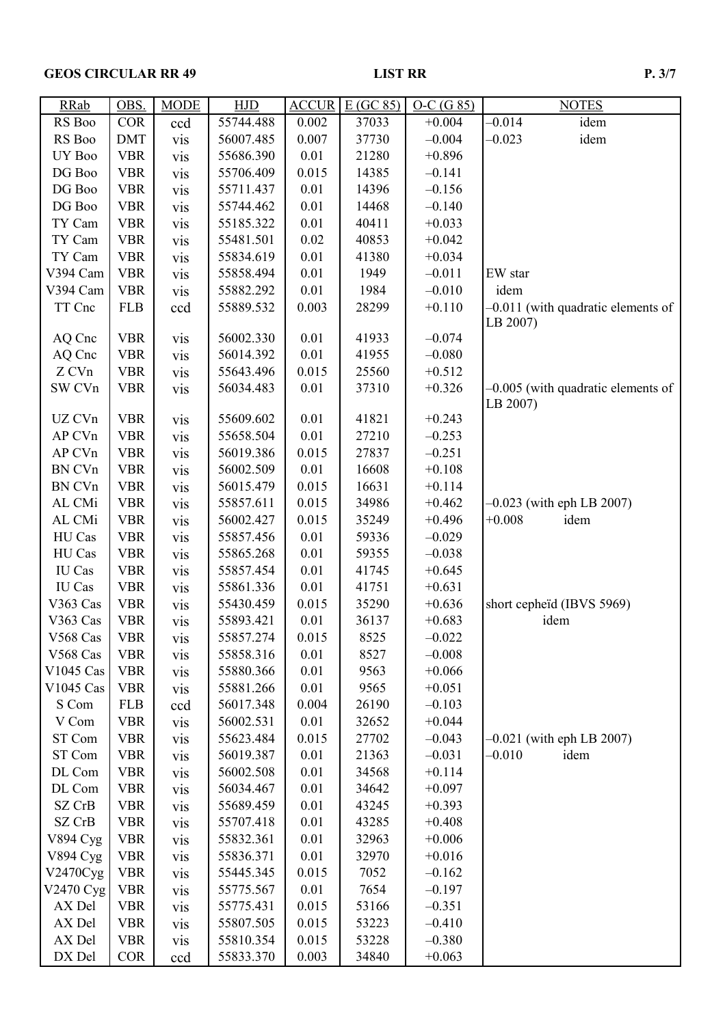# GEOS CIRCULAR RR 49 LIST RR P. 3/7

| <b>RRab</b>     | OBS.       | <b>MODE</b>      | <b>HJD</b> | <b>ACCUR</b> | E(GC 85) | $O-C(G 85)$ | <b>NOTES</b>                                     |
|-----------------|------------|------------------|------------|--------------|----------|-------------|--------------------------------------------------|
| RS Boo          | <b>COR</b> | ccd              | 55744.488  | 0.002        | 37033    | $+0.004$    | $-0.014$<br>idem                                 |
| RS Boo          | <b>DMT</b> | vis              | 56007.485  | 0.007        | 37730    | $-0.004$    | $-0.023$<br>idem                                 |
| UY Boo          | <b>VBR</b> | vis              | 55686.390  | 0.01         | 21280    | $+0.896$    |                                                  |
| DG Boo          | <b>VBR</b> | vis              | 55706.409  | 0.015        | 14385    | $-0.141$    |                                                  |
| DG Boo          | <b>VBR</b> | <b>vis</b>       | 55711.437  | 0.01         | 14396    | $-0.156$    |                                                  |
| DG Boo          | <b>VBR</b> | vis              | 55744.462  | 0.01         | 14468    | $-0.140$    |                                                  |
| TY Cam          | <b>VBR</b> | vis              | 55185.322  | 0.01         | 40411    | $+0.033$    |                                                  |
| TY Cam          | <b>VBR</b> | <b>vis</b>       | 55481.501  | 0.02         | 40853    | $+0.042$    |                                                  |
| TY Cam          | <b>VBR</b> | vis              | 55834.619  | 0.01         | 41380    | $+0.034$    |                                                  |
| V394 Cam        | <b>VBR</b> | vis              | 55858.494  | 0.01         | 1949     | $-0.011$    | EW star                                          |
| V394 Cam        | <b>VBR</b> | vis              | 55882.292  | 0.01         | 1984     | $-0.010$    | idem                                             |
| TT Cnc          | <b>FLB</b> | ccd              | 55889.532  | 0.003        | 28299    | $+0.110$    | -0.011 (with quadratic elements of<br>LB 2007)   |
| AQ Cnc          | <b>VBR</b> | vis              | 56002.330  | 0.01         | 41933    | $-0.074$    |                                                  |
| AQ Cnc          | <b>VBR</b> | vis              | 56014.392  | 0.01         | 41955    | $-0.080$    |                                                  |
| Z CVn           | <b>VBR</b> | <b>vis</b>       | 55643.496  | 0.015        | 25560    | $+0.512$    |                                                  |
| SW CVn          | <b>VBR</b> | vis              | 56034.483  | 0.01         | 37310    | $+0.326$    | $-0.005$ (with quadratic elements of<br>LB 2007) |
| UZ CVn          | <b>VBR</b> | vis              | 55609.602  | 0.01         | 41821    | $+0.243$    |                                                  |
| AP CVn          | <b>VBR</b> | vis              | 55658.504  | 0.01         | 27210    | $-0.253$    |                                                  |
| AP CVn          | <b>VBR</b> | vis              | 56019.386  | 0.015        | 27837    | $-0.251$    |                                                  |
| BN CVn          | <b>VBR</b> | vis              | 56002.509  | 0.01         | 16608    | $+0.108$    |                                                  |
| BN CVn          | <b>VBR</b> | vis              | 56015.479  | 0.015        | 16631    | $+0.114$    |                                                  |
| AL CMi          | <b>VBR</b> | <b>vis</b>       | 55857.611  | 0.015        | 34986    | $+0.462$    | $-0.023$ (with eph LB 2007)                      |
| AL CMi          | <b>VBR</b> | <b>vis</b>       | 56002.427  | 0.015        | 35249    | $+0.496$    | $+0.008$<br>idem                                 |
| HU Cas          | <b>VBR</b> | vis              | 55857.456  | 0.01         | 59336    | $-0.029$    |                                                  |
| HU Cas          | <b>VBR</b> | V <sub>1</sub> S | 55865.268  | 0.01         | 59355    | $-0.038$    |                                                  |
| IU Cas          | <b>VBR</b> | vis              | 55857.454  | 0.01         | 41745    | $+0.645$    |                                                  |
| IU Cas          | <b>VBR</b> | vis              | 55861.336  | 0.01         | 41751    | $+0.631$    |                                                  |
| V363 Cas        | <b>VBR</b> | vis              | 55430.459  | 0.015        | 35290    | $+0.636$    | short cepheïd (IBVS 5969)                        |
| V363 Cas        | <b>VBR</b> | vis              | 55893.421  | 0.01         | 36137    | $+0.683$    | idem                                             |
| V568 Cas        | <b>VBR</b> | vis              | 55857.274  | 0.015        | 8525     | $-0.022$    |                                                  |
| V568 Cas        | <b>VBR</b> | vis              | 55858.316  | 0.01         | 8527     | $-0.008$    |                                                  |
| V1045 Cas       | <b>VBR</b> | <b>vis</b>       | 55880.366  | 0.01         | 9563     | $+0.066$    |                                                  |
| V1045 Cas       | <b>VBR</b> | <b>vis</b>       | 55881.266  | 0.01         | 9565     | $+0.051$    |                                                  |
| S Com           | <b>FLB</b> | ccd              | 56017.348  | 0.004        | 26190    | $-0.103$    |                                                  |
| V Com           | <b>VBR</b> | <b>vis</b>       | 56002.531  | 0.01         | 32652    | $+0.044$    |                                                  |
| ST Com          | <b>VBR</b> | <b>vis</b>       | 55623.484  | 0.015        | 27702    | $-0.043$    | $-0.021$ (with eph LB 2007)                      |
| ST Com          | <b>VBR</b> | <b>vis</b>       | 56019.387  | 0.01         | 21363    | $-0.031$    | $-0.010$<br>idem                                 |
| DL Com          | <b>VBR</b> | <b>vis</b>       | 56002.508  | 0.01         | 34568    | $+0.114$    |                                                  |
| DL Com          | <b>VBR</b> | vis              | 56034.467  | 0.01         | 34642    | $+0.097$    |                                                  |
| SZ CrB          | <b>VBR</b> | <b>vis</b>       | 55689.459  | 0.01         | 43245    | $+0.393$    |                                                  |
| SZ CrB          | <b>VBR</b> | <b>vis</b>       | 55707.418  | 0.01         | 43285    | $+0.408$    |                                                  |
| <b>V894 Cyg</b> | <b>VBR</b> | <b>vis</b>       | 55832.361  | 0.01         | 32963    | $+0.006$    |                                                  |
| <b>V894 Cyg</b> | <b>VBR</b> | <b>vis</b>       | 55836.371  | 0.01         | 32970    | $+0.016$    |                                                  |
| V2470Cyg        | <b>VBR</b> | vis              | 55445.345  | 0.015        | 7052     | $-0.162$    |                                                  |
| V2470 Cyg       | <b>VBR</b> | <b>vis</b>       | 55775.567  | 0.01         | 7654     | $-0.197$    |                                                  |
| AX Del          | <b>VBR</b> | <b>vis</b>       | 55775.431  | 0.015        | 53166    | $-0.351$    |                                                  |
| AX Del          | <b>VBR</b> | <b>vis</b>       | 55807.505  | 0.015        | 53223    | $-0.410$    |                                                  |
| AX Del          | <b>VBR</b> | <b>vis</b>       | 55810.354  | 0.015        | 53228    | $-0.380$    |                                                  |
| DX Del          | <b>COR</b> | ccd              | 55833.370  | 0.003        | 34840    | $+0.063$    |                                                  |
|                 |            |                  |            |              |          |             |                                                  |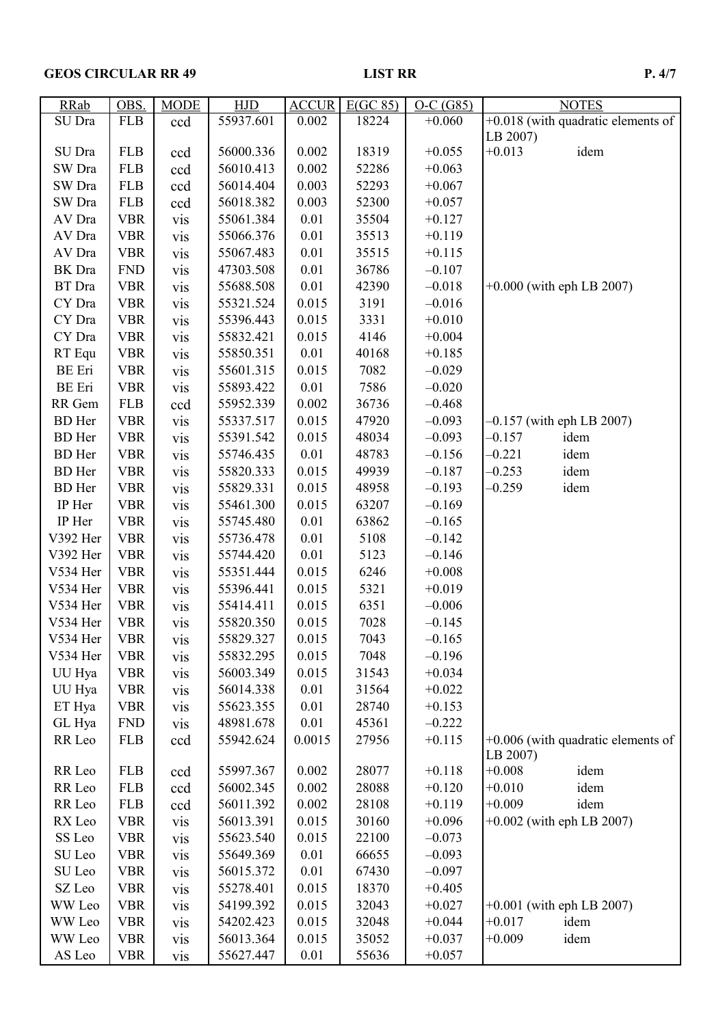# GEOS CIRCULAR RR 49 LIST RR P. 4/7

| <b>RRab</b>   | OBS.       | <b>MODE</b> | <b>HJD</b> | <b>ACCUR</b> | E(GC 85) | $O-C(G85)$ | <b>NOTES</b>                         |
|---------------|------------|-------------|------------|--------------|----------|------------|--------------------------------------|
| SU Dra        | <b>FLB</b> | ccd         | 55937.601  | 0.002        | 18224    | $+0.060$   | +0.018 (with quadratic elements of   |
|               |            |             |            |              |          |            | LB 2007)                             |
| SU Dra        | <b>FLB</b> | ccd         | 56000.336  | 0.002        | 18319    | $+0.055$   | $+0.013$<br>idem                     |
| SW Dra        | <b>FLB</b> | ccd         | 56010.413  | 0.002        | 52286    | $+0.063$   |                                      |
| SW Dra        | <b>FLB</b> | ccd         | 56014.404  | 0.003        | 52293    | $+0.067$   |                                      |
| SW Dra        | <b>FLB</b> | ccd         | 56018.382  | 0.003        | 52300    | $+0.057$   |                                      |
| AV Dra        | <b>VBR</b> | vis         | 55061.384  | 0.01         | 35504    | $+0.127$   |                                      |
| AV Dra        | <b>VBR</b> | vis         | 55066.376  | 0.01         | 35513    | $+0.119$   |                                      |
| AV Dra        | <b>VBR</b> | vis         | 55067.483  | 0.01         | 35515    | $+0.115$   |                                      |
| BK Dra        | <b>FND</b> | vis         | 47303.508  | 0.01         | 36786    | $-0.107$   |                                      |
| BT Dra        | <b>VBR</b> | vis         | 55688.508  | 0.01         | 42390    | $-0.018$   | $+0.000$ (with eph LB 2007)          |
| CY Dra        | <b>VBR</b> | vis         | 55321.524  | 0.015        | 3191     | $-0.016$   |                                      |
| CY Dra        | <b>VBR</b> | vis         | 55396.443  | 0.015        | 3331     | $+0.010$   |                                      |
| CY Dra        | <b>VBR</b> | vis         | 55832.421  | 0.015        | 4146     | $+0.004$   |                                      |
| RT Equ        | <b>VBR</b> | vis         | 55850.351  | 0.01         | 40168    | $+0.185$   |                                      |
| BE Eri        | <b>VBR</b> | vis         | 55601.315  | 0.015        | 7082     | $-0.029$   |                                      |
| <b>BE</b> Eri | <b>VBR</b> | vis         | 55893.422  | 0.01         | 7586     | $-0.020$   |                                      |
| RR Gem        | <b>FLB</b> | ccd         | 55952.339  | 0.002        | 36736    | $-0.468$   |                                      |
| <b>BD</b> Her | <b>VBR</b> | vis         | 55337.517  | 0.015        | 47920    | $-0.093$   | $-0.157$ (with eph LB 2007)          |
| <b>BD</b> Her | <b>VBR</b> | vis         | 55391.542  | 0.015        | 48034    | $-0.093$   | $-0.157$<br>idem                     |
| <b>BD</b> Her | <b>VBR</b> | vis         | 55746.435  | 0.01         | 48783    | $-0.156$   | $-0.221$<br>idem                     |
| <b>BD</b> Her | <b>VBR</b> | vis         | 55820.333  | 0.015        | 49939    | $-0.187$   | $-0.253$<br>idem                     |
| <b>BD</b> Her | <b>VBR</b> | vis         | 55829.331  | 0.015        | 48958    | $-0.193$   | $-0.259$<br>idem                     |
| IP Her        | <b>VBR</b> | vis         | 55461.300  | 0.015        | 63207    | $-0.169$   |                                      |
| IP Her        | <b>VBR</b> | vis         | 55745.480  | 0.01         | 63862    | $-0.165$   |                                      |
| V392 Her      | <b>VBR</b> | vis         | 55736.478  | 0.01         | 5108     | $-0.142$   |                                      |
| V392 Her      | <b>VBR</b> | vis         | 55744.420  | 0.01         | 5123     | $-0.146$   |                                      |
| V534 Her      | <b>VBR</b> | vis         | 55351.444  | 0.015        | 6246     | $+0.008$   |                                      |
| V534 Her      | <b>VBR</b> | vis         | 55396.441  | 0.015        | 5321     | $+0.019$   |                                      |
| V534 Her      | <b>VBR</b> | vis         | 55414.411  | 0.015        | 6351     | $-0.006$   |                                      |
| V534 Her      | <b>VBR</b> | vis         | 55820.350  | 0.015        | 7028     | $-0.145$   |                                      |
| V534 Her      | <b>VBR</b> | <b>vis</b>  | 55829.327  | 0.015        | 7043     | $-0.165$   |                                      |
| V534 Her      | <b>VBR</b> | <b>VIS</b>  | 55832.295  | 0.015        | 7048     | $-0.196$   |                                      |
| UU Hya        | <b>VBR</b> | vis         | 56003.349  | 0.015        | 31543    | $+0.034$   |                                      |
| UU Hya        | <b>VBR</b> | vis         | 56014.338  | 0.01         | 31564    | $+0.022$   |                                      |
| ET Hya        | <b>VBR</b> | vis         | 55623.355  | 0.01         | 28740    | $+0.153$   |                                      |
| GL Hya        | <b>FND</b> | vis         | 48981.678  | 0.01         | 45361    | $-0.222$   |                                      |
| RR Leo        | <b>FLB</b> | ccd         | 55942.624  | 0.0015       | 27956    | $+0.115$   | $+0.006$ (with quadratic elements of |
|               |            |             |            |              |          |            | LB 2007)                             |
| RR Leo        | <b>FLB</b> | ccd         | 55997.367  | 0.002        | 28077    | $+0.118$   | $+0.008$<br>idem                     |
| RR Leo        | <b>FLB</b> | ccd         | 56002.345  | 0.002        | 28088    | $+0.120$   | idem<br>$+0.010$                     |
| RR Leo        | <b>FLB</b> | ccd         | 56011.392  | 0.002        | 28108    | $+0.119$   | $+0.009$<br>idem                     |
| RX Leo        | <b>VBR</b> | vis         | 56013.391  | 0.015        | 30160    | $+0.096$   | $+0.002$ (with eph LB 2007)          |
| SS Leo        | <b>VBR</b> | vis         | 55623.540  | 0.015        | 22100    | $-0.073$   |                                      |
| SU Leo        | <b>VBR</b> | vis         | 55649.369  | 0.01         | 66655    | $-0.093$   |                                      |
| SU Leo        | <b>VBR</b> | vis         | 56015.372  | 0.01         | 67430    | $-0.097$   |                                      |
| SZ Leo        | <b>VBR</b> | vis         | 55278.401  | 0.015        | 18370    | $+0.405$   |                                      |
| WW Leo        | <b>VBR</b> | vis         | 54199.392  | 0.015        | 32043    | $+0.027$   | $+0.001$ (with eph LB 2007)          |
| WW Leo        | <b>VBR</b> | vis         | 54202.423  | 0.015        | 32048    | $+0.044$   | $+0.017$<br>idem                     |
| WW Leo        | <b>VBR</b> | vis         | 56013.364  | 0.015        | 35052    | $+0.037$   | $+0.009$<br>idem                     |
| AS Leo        | <b>VBR</b> | <b>VIS</b>  | 55627.447  | 0.01         | 55636    | $+0.057$   |                                      |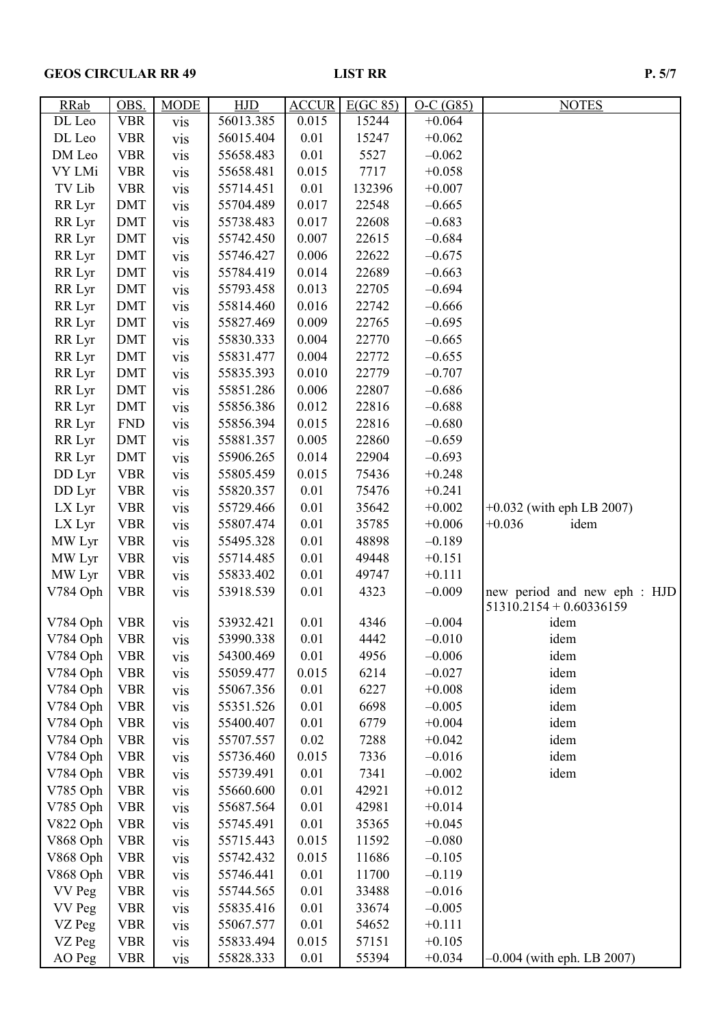## GEOS CIRCULAR RR 49 LIST RR P. 5/7

| <b>RRab</b> | OBS.       | <b>MODE</b> | <b>HJD</b> | <b>ACCUR</b> | E(GC 85) | $O-C(G85)$ | <b>NOTES</b>                 |
|-------------|------------|-------------|------------|--------------|----------|------------|------------------------------|
| DL Leo      | <b>VBR</b> | vis         | 56013.385  | 0.015        | 15244    | $+0.064$   |                              |
| DL Leo      | <b>VBR</b> | vis         | 56015.404  | 0.01         | 15247    | $+0.062$   |                              |
| DM Leo      | <b>VBR</b> | vis         | 55658.483  | 0.01         | 5527     | $-0.062$   |                              |
| VY LMi      | <b>VBR</b> | vis         | 55658.481  | 0.015        | 7717     | $+0.058$   |                              |
| TV Lib      | <b>VBR</b> | vis         | 55714.451  | 0.01         | 132396   | $+0.007$   |                              |
| RR Lyr      | <b>DMT</b> | vis         | 55704.489  | 0.017        | 22548    | $-0.665$   |                              |
| RR Lyr      | <b>DMT</b> | vis         | 55738.483  | 0.017        | 22608    | $-0.683$   |                              |
| RR Lyr      | <b>DMT</b> | vis         | 55742.450  | 0.007        | 22615    | $-0.684$   |                              |
| RR Lyr      | <b>DMT</b> | vis         | 55746.427  | 0.006        | 22622    | $-0.675$   |                              |
| RR Lyr      | <b>DMT</b> | vis         | 55784.419  | 0.014        | 22689    | $-0.663$   |                              |
| RR Lyr      | <b>DMT</b> | vis         | 55793.458  | 0.013        | 22705    | $-0.694$   |                              |
| RR Lyr      | <b>DMT</b> | vis         | 55814.460  | 0.016        | 22742    | $-0.666$   |                              |
| RR Lyr      | <b>DMT</b> | <b>vis</b>  | 55827.469  | 0.009        | 22765    | $-0.695$   |                              |
| RR Lyr      | <b>DMT</b> | vis         | 55830.333  | 0.004        | 22770    | $-0.665$   |                              |
| RR Lyr      | <b>DMT</b> | <b>vis</b>  | 55831.477  | 0.004        | 22772    | $-0.655$   |                              |
| RR Lyr      | <b>DMT</b> | vis         | 55835.393  | 0.010        | 22779    | $-0.707$   |                              |
| RR Lyr      | <b>DMT</b> | vis         | 55851.286  | 0.006        | 22807    | $-0.686$   |                              |
| RR Lyr      | <b>DMT</b> | vis         | 55856.386  | 0.012        | 22816    | $-0.688$   |                              |
| RR Lyr      | <b>FND</b> | vis         | 55856.394  | 0.015        | 22816    | $-0.680$   |                              |
| RR Lyr      | <b>DMT</b> | vis         | 55881.357  | 0.005        | 22860    | $-0.659$   |                              |
| RR Lyr      | <b>DMT</b> | vis         | 55906.265  | 0.014        | 22904    | $-0.693$   |                              |
| DD Lyr      | <b>VBR</b> | vis         | 55805.459  | 0.015        | 75436    | $+0.248$   |                              |
| DD Lyr      | <b>VBR</b> | vis         | 55820.357  | 0.01         | 75476    | $+0.241$   |                              |
| LX Lyr      | <b>VBR</b> | vis         | 55729.466  | 0.01         | 35642    | $+0.002$   | $+0.032$ (with eph LB 2007)  |
| LX Lyr      | <b>VBR</b> |             | 55807.474  | 0.01         | 35785    | $+0.006$   | $+0.036$<br>idem             |
| MW Lyr      | <b>VBR</b> | <b>vis</b>  | 55495.328  | 0.01         | 48898    | $-0.189$   |                              |
| MW Lyr      | <b>VBR</b> | vis         | 55714.485  | 0.01         | 49448    | $+0.151$   |                              |
| MW Lyr      | <b>VBR</b> | vis         | 55833.402  | 0.01         | 49747    | $+0.111$   |                              |
|             |            | vis         |            | 0.01         | 4323     | $-0.009$   | new period and new eph : HJD |
| V784 Oph    | <b>VBR</b> | vis         | 53918.539  |              |          |            | $51310.2154 + 0.60336159$    |
| V784 Oph    | <b>VBR</b> | vis         | 53932.421  | 0.01         | 4346     | $-0.004$   | idem                         |
| V784 Oph    | <b>VBR</b> | <b>VIS</b>  | 53990.338  | 0.01         | 4442     | $-0.010$   | idem                         |
| V784 Oph    | <b>VBR</b> | vis         | 54300.469  | 0.01         | 4956     | $-0.006$   | idem                         |
| V784 Oph    | <b>VBR</b> | <b>vis</b>  | 55059.477  | 0.015        | 6214     | $-0.027$   | idem                         |
| V784 Oph    | <b>VBR</b> | vis         | 55067.356  | 0.01         | 6227     | $+0.008$   | idem                         |
| V784 Oph    | <b>VBR</b> | vis         | 55351.526  | 0.01         | 6698     | $-0.005$   | idem                         |
| V784 Oph    | <b>VBR</b> | vis         | 55400.407  | 0.01         | 6779     | $+0.004$   | idem                         |
| V784 Oph    | <b>VBR</b> | vis         | 55707.557  | 0.02         | 7288     | $+0.042$   | idem                         |
| V784 Oph    | <b>VBR</b> | vis         | 55736.460  | 0.015        | 7336     | $-0.016$   | idem                         |
| V784 Oph    | <b>VBR</b> | vis         | 55739.491  | 0.01         | 7341     | $-0.002$   | idem                         |
| V785 Oph    | <b>VBR</b> | <b>vis</b>  | 55660.600  | 0.01         | 42921    | $+0.012$   |                              |
| V785 Oph    | <b>VBR</b> |             | 55687.564  | 0.01         | 42981    | $+0.014$   |                              |
| V822 Oph    | <b>VBR</b> | vis         | 55745.491  | 0.01         | 35365    | $+0.045$   |                              |
| V868 Oph    | <b>VBR</b> | vis         | 55715.443  | 0.015        | 11592    | $-0.080$   |                              |
| V868 Oph    | <b>VBR</b> | <b>vis</b>  | 55742.432  | 0.015        | 11686    | $-0.105$   |                              |
|             |            | vis         |            |              |          |            |                              |
| V868 Oph    | <b>VBR</b> | vis         | 55746.441  | 0.01         | 11700    | $-0.119$   |                              |
| VV Peg      | <b>VBR</b> | vis         | 55744.565  | 0.01         | 33488    | $-0.016$   |                              |
| VV Peg      | <b>VBR</b> | vis         | 55835.416  | 0.01         | 33674    | $-0.005$   |                              |
| VZ Peg      | <b>VBR</b> | vis         | 55067.577  | 0.01         | 54652    | $+0.111$   |                              |
| VZ Peg      | <b>VBR</b> | vis         | 55833.494  | 0.015        | 57151    | $+0.105$   |                              |
| AO Peg      | <b>VBR</b> | <b>vis</b>  | 55828.333  | 0.01         | 55394    | $+0.034$   | $-0.004$ (with eph. LB 2007) |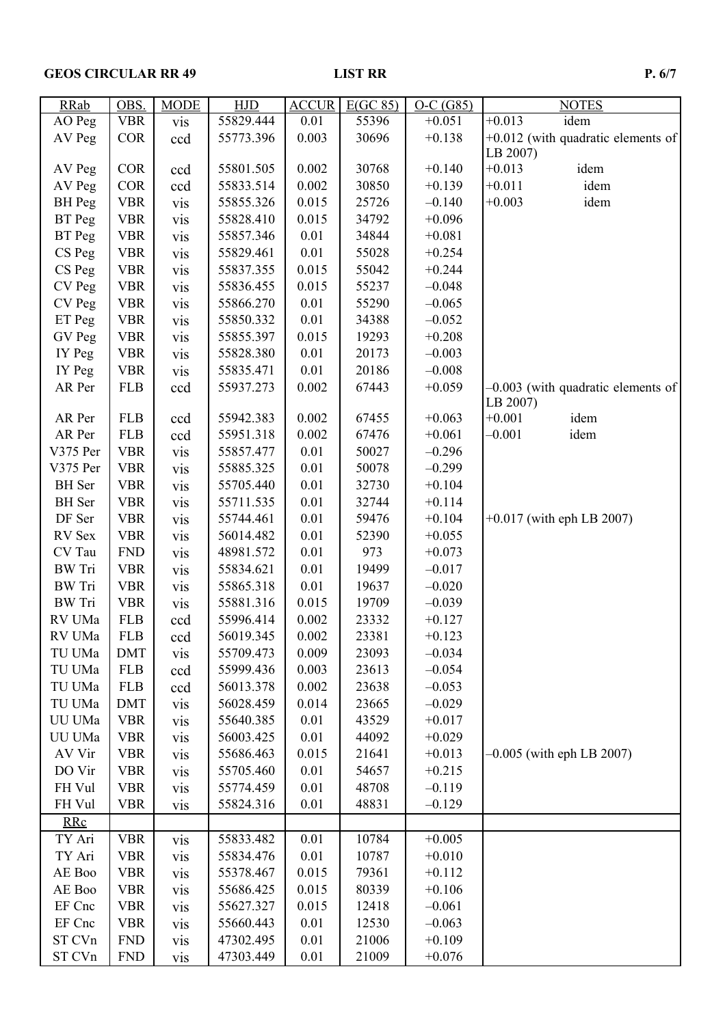# GEOS CIRCULAR RR 49 LIST RR P. 6/7

| <b>RRab</b>   | OBS.       | <b>MODE</b>       | <b>HJD</b> | <b>ACCUR</b> | E(GC 85) | $O-C(G85)$ | <b>NOTES</b>                         |
|---------------|------------|-------------------|------------|--------------|----------|------------|--------------------------------------|
| AO Peg        | <b>VBR</b> | vis               | 55829.444  | 0.01         | 55396    | $+0.051$   | $+0.013$<br>idem                     |
| AV Peg        | <b>COR</b> | ccd               | 55773.396  | 0.003        | 30696    | $+0.138$   | $+0.012$ (with quadratic elements of |
|               |            |                   |            |              |          |            | LB 2007)                             |
| AV Peg        | <b>COR</b> | ccd               | 55801.505  | 0.002        | 30768    | $+0.140$   | $+0.013$<br>idem                     |
| AV Peg        | <b>COR</b> | ccd               | 55833.514  | 0.002        | 30850    | $+0.139$   | $+0.011$<br>idem                     |
| <b>BH</b> Peg | <b>VBR</b> | vis               | 55855.326  | 0.015        | 25726    | $-0.140$   | $+0.003$<br>idem                     |
| BT Peg        | <b>VBR</b> | <b>vis</b>        | 55828.410  | 0.015        | 34792    | $+0.096$   |                                      |
| BT Peg        | <b>VBR</b> | vis               | 55857.346  | 0.01         | 34844    | $+0.081$   |                                      |
| CS Peg        | <b>VBR</b> | vis               | 55829.461  | 0.01         | 55028    | $+0.254$   |                                      |
| CS Peg        | <b>VBR</b> | vis               | 55837.355  | 0.015        | 55042    | $+0.244$   |                                      |
| CV Peg        | <b>VBR</b> | vis               | 55836.455  | 0.015        | 55237    | $-0.048$   |                                      |
| CV Peg        | <b>VBR</b> | <b>vis</b>        | 55866.270  | 0.01         | 55290    | $-0.065$   |                                      |
| ET Peg        | <b>VBR</b> | vis               | 55850.332  | 0.01         | 34388    | $-0.052$   |                                      |
| GV Peg        | <b>VBR</b> | <b>vis</b>        | 55855.397  | 0.015        | 19293    | $+0.208$   |                                      |
| IY Peg        | <b>VBR</b> | <b>vis</b>        | 55828.380  | 0.01         | 20173    | $-0.003$   |                                      |
| IY Peg        | <b>VBR</b> | vis               | 55835.471  | 0.01         | 20186    | $-0.008$   |                                      |
| AR Per        | <b>FLB</b> | ccd               | 55937.273  | 0.002        | 67443    | $+0.059$   | $-0.003$ (with quadratic elements of |
|               |            |                   |            |              |          |            | LB 2007)                             |
| AR Per        | <b>FLB</b> | ccd               | 55942.383  | 0.002        | 67455    | $+0.063$   | $+0.001$<br>idem                     |
| AR Per        | <b>FLB</b> | ccd               | 55951.318  | 0.002        | 67476    | $+0.061$   | $-0.001$<br>idem                     |
| V375 Per      | <b>VBR</b> | vis               | 55857.477  | 0.01         | 50027    | $-0.296$   |                                      |
| V375 Per      | <b>VBR</b> | <b>vis</b>        | 55885.325  | 0.01         | 50078    | $-0.299$   |                                      |
| <b>BH</b> Ser | <b>VBR</b> | <b>vis</b>        | 55705.440  | 0.01         | 32730    | $+0.104$   |                                      |
| <b>BH</b> Ser | <b>VBR</b> | vis               | 55711.535  | 0.01         | 32744    | $+0.114$   |                                      |
| DF Ser        | <b>VBR</b> | vis               | 55744.461  | 0.01         | 59476    | $+0.104$   | $+0.017$ (with eph LB 2007)          |
| RV Sex        | <b>VBR</b> | vis               | 56014.482  | 0.01         | 52390    | $+0.055$   |                                      |
| CV Tau        | <b>FND</b> | <b>vis</b>        | 48981.572  | 0.01         | 973      | $+0.073$   |                                      |
| <b>BW</b> Tri | <b>VBR</b> | <b>vis</b>        | 55834.621  | 0.01         | 19499    | $-0.017$   |                                      |
| <b>BW</b> Tri | <b>VBR</b> | vis               | 55865.318  | 0.01         | 19637    | $-0.020$   |                                      |
| <b>BW</b> Tri | <b>VBR</b> | <b>vis</b>        | 55881.316  | 0.015        | 19709    | $-0.039$   |                                      |
| RV UMa        | <b>FLB</b> | ccd               | 55996.414  | 0.002        | 23332    | $+0.127$   |                                      |
| RV UMa        | <b>FLB</b> | ccd               | 56019.345  | 0.002        | 23381    | $+0.123$   |                                      |
| TU UMa        | DMT        | <b>VIS</b>        | 55709.473  | 0.009        | 23093    | $-0.034$   |                                      |
| TU UMa        | <b>FLB</b> | ccd               | 55999.436  | 0.003        | 23613    | $-0.054$   |                                      |
| TU UMa        | <b>FLB</b> | ccd               | 56013.378  | 0.002        | 23638    | $-0.053$   |                                      |
| TU UMa        | <b>DMT</b> | vis               | 56028.459  | 0.014        | 23665    | $-0.029$   |                                      |
| UU UMa        | <b>VBR</b> | vis               | 55640.385  | 0.01         | 43529    | $+0.017$   |                                      |
| UU UMa        | <b>VBR</b> | <b>vis</b>        | 56003.425  | 0.01         | 44092    | $+0.029$   |                                      |
| AV Vir        | <b>VBR</b> | vis               | 55686.463  | 0.015        | 21641    | $+0.013$   | $-0.005$ (with eph LB 2007)          |
| DO Vir        | <b>VBR</b> |                   | 55705.460  | 0.01         | 54657    | $+0.215$   |                                      |
| FH Vul        | <b>VBR</b> | <b>vis</b><br>vis | 55774.459  | 0.01         | 48708    | $-0.119$   |                                      |
| FH Vul        | <b>VBR</b> |                   | 55824.316  | 0.01         | 48831    | $-0.129$   |                                      |
|               |            | vis               |            |              |          |            |                                      |
| <b>RRc</b>    |            |                   |            |              |          |            |                                      |
| TY Ari        | <b>VBR</b> | <b>vis</b>        | 55833.482  | 0.01         | 10784    | $+0.005$   |                                      |
| TY Ari        | <b>VBR</b> | vis               | 55834.476  | 0.01         | 10787    | $+0.010$   |                                      |
| AE Boo        | <b>VBR</b> | <b>vis</b>        | 55378.467  | 0.015        | 79361    | $+0.112$   |                                      |
| AE Boo        | <b>VBR</b> | vis               | 55686.425  | 0.015        | 80339    | $+0.106$   |                                      |
| EF Cnc        | <b>VBR</b> | <b>vis</b>        | 55627.327  | 0.015        | 12418    | $-0.061$   |                                      |
| EF Cnc        | <b>VBR</b> | <b>vis</b>        | 55660.443  | 0.01         | 12530    | $-0.063$   |                                      |
| ST CVn        | <b>FND</b> | vis               | 47302.495  | 0.01         | 21006    | $+0.109$   |                                      |
| ST CVn        | <b>FND</b> | vis               | 47303.449  | 0.01         | 21009    | $+0.076$   |                                      |